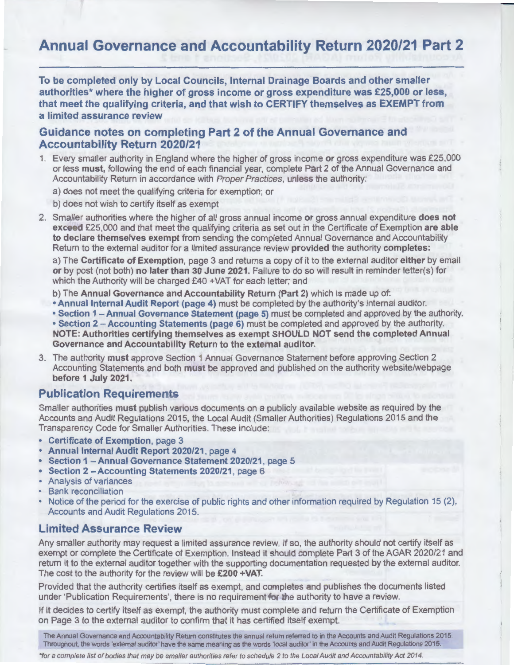# **Annual Governance and Accountability Return 2020/21 Part 2**

**To be completed only by Local Councils, Internal Drainage Boards and other smaller**  authorities<sup>\*</sup> where the higher of gross income or gross expenditure was £25,000 or less, that meet the qualifying criteria, and that wish to CERTIFY themselves as EXEMPT from **a limited assurance review** 

### **Guidance notes on completing Part 2 of the Annual Governance and Accountability Return 2020/21**

- 1. Every smaller authority in England where the higher of gross income **or** gross expenditure was £25,000 or less **must,** following the end of each financial year, complete Part 2 of the Annual Governance and Accountability Return in accordance with Proper Practices, unless the authority:
	- a) does not meet the qualifying criteria for exemption; or
	- b) does not wish to certify itself as exempt
- 2. Smaller authorities where the higher of all gross annual income **or** gross annual expenditure **does not exc e** £25,000 and that meet the qualifying criteria as set out in the Certificate of Exemption **are able to declare themselves exempt** from sending the completed Annual Governance and Accountability Return to the external auditor for a limited assurance review **provided** the authority **completes:**

a) The **Certificate of Exemption,** page 3 and returns a copy of it to the external auditor **either** by email **or** by post (not both) **no later than 30 June 2021.** Failure to do so will result in reminder letter(s) for which the Authority will be charged £40 +VAT for each letter; and

b) The **Annual Governance and Accountability Return (Part 2)** which is made up of:

- **Annual Internal Audit Report (page 4)** must be completed by the authority's internal auditor.
- **Section 1 -Annual Governance Statement (page 5)** must be completed and approved by the authority.

• **Section 2 -Accounting Statements (page 6)** must be completed and approved by the authority. **NOTE: Authorities certifying themselves as exempt SHOULD NOT send the completed Annual Governance and Accountability Return to the external auditor.** 

3. The authority **must** approve Section 1 Annual Governance Statement before approving Section 2 Accounting Statements and both **must** be approved and published on the authority website/webpage **before 1 July 2021.** 

### **Publication Requirements**

Smaller authorities **must** publish various documents on a publicly available website as required by the Accounts and Audit Regulations 2015, the Local Audit (Smaller Authorities) Regulations 2015 and the Transparency Code for Smaller Authorities. These include:

- **Certificate of Exemption,** page 3
- **Annual Internal Audit Report 2020/21,** page 4
- **Section 1 Annual Governance Statement 2020/21,** oage 5
- **Section 2 Accounting Statements 2020/21,** page 6
- Analysis of variances
- **Bank reconciliation**
- Notice of the period for the exercise of public rights and other information required by Regulation 15 (2), Accounts and Audit Regulations 2015.

### **Limited Assurance Review**

Any smaller authority may request a limited assurance review. If so, the authority should not certify itself as exempt or complete the Certificate of Exemption. Instead it should complete Part 3 of the AGAR 2020/21 and return it to the external auditor together with the supporting documentation requested by the external auditor. The cost to the authority for the review will be **£200 +VAT.** 

Provided that the authority certifies itself as exempt, and completes and publishes the documents listed under 'Publication Requirements', there is no requirement for the authority to have a review.

If it decides to certify itself as exempt, the authority must complete and return the Certificate of Exemption on Page 3 to the external auditor to confirm that it has certified itself exempt.

The Annual Governance and Accountability Return constitutes the annual return referred to in the Accounts and Audit Regulations 2015.<br>Throughout, the words 'external auditor' have the same meaning as the words 'local audit

\*for a complete list of bodies that may be smaller authorities refer to schedule 2 to the Local Audit and Accountability Act 2014.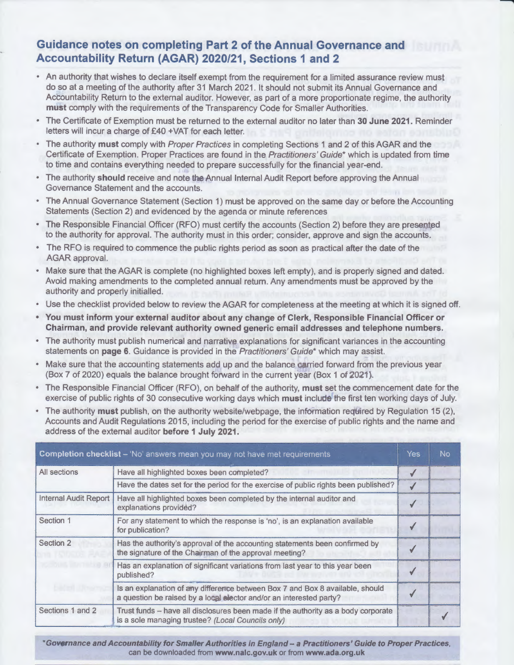## **Guidance notes on completing Part 2 of the Annual Governance and Accountability Return (AGAR) 2020/21, Sections 1 and 2**

- An authority that wishes to declare itself exempt from the requirement for a limited assurance review must do so at a meeting of the authority after 31 March 2021. It should not submit its Annual Governance and Accountability Return to the external auditor. However, as part of a more proportionate regime, the authority **must** comply with the requirements of the Transparency Code for Smaller Authorities.
- The Certificate of Exemption must be returned to the external auditor no later than **30 June 2021.** Reminder letters will incur a charge of £40 +VAT for each letter.
- The authority **must** comply with Proper Practices in completing Sections 1 and 2 of this AGAR and the Certificate of Exemption. Proper Practices are found in the Practitioners' Guide\* which is updated from time to time and contains everything needed to prepare successfully for the financial year-end.
- The authority **should** receive and note the Annual Internal Audit Report before approving the Annual Governance Statement and the accounts.
- The Annual Governance Statement (Section 1) must be approved on the same day or before the Accounting Statements (Section 2) and evidenced by the agenda or minute references
- The Responsible Financial Officer (RFO) must certify the accounts (Section 2) before they are presented to the authority for approval. The authority must in this order; consider, approve and sign the accounts.
- The RFO is required to commence the public rights period as soon as practical after the date of the AGAR approval.
- Make sure that the AGAR is complete (no highlighted boxes left empty), and is properly signed and dated. Avoid making amendments to the completed annual return. Any amendments must be approved by the authority and properly initialled.
- Use the checklist provided below to review the AGAR for completeness at the meeting at which it is signed off.
- **You must inform your external auditor about any change of Clerk, Responsible Financial Officer or Chairman, and provide relevant authority owned generic email addresses and telephone numbers.**
- The authority must publish numerical and narrative explanations for significant variances in the accounting statements on **page 6.** Guidance is provided in the Practitioners' Guide\* which may assist.
- Make sure that the accounting statements add up and the balance carried forward from the previous year (Box 7 of 2020) equals the balance brought forward in the current year (Box 1 of 2021 ).
- The Responsible Financial Officer (RFO), on behalf of the authority, **must** set the commencement date for the exercise of public rights of 30 consecutive working days which **must** include the first ten working days of July.
- The authority **must** publish, on the authority website/webpage, the information required by Regulation 15 (2), Accounts and Audit Regulations 2015, including the period for the exercise of public rights and the name and address of the external auditor **before 1 July 2021.**

| <b>Completion checklist</b> – 'No' answers mean you may not have met requirements |                                                                                                                                                      |              |  |
|-----------------------------------------------------------------------------------|------------------------------------------------------------------------------------------------------------------------------------------------------|--------------|--|
| All sections                                                                      | Have all highlighted boxes been completed?                                                                                                           |              |  |
|                                                                                   | Have the dates set for the period for the exercise of public rights been published?                                                                  | $\checkmark$ |  |
| <b>Internal Audit Report</b>                                                      | Have all highlighted boxes been completed by the internal auditor and<br>explanations provided?                                                      |              |  |
| Section 1                                                                         | For any statement to which the response is 'no', is an explanation available<br>for publication?                                                     |              |  |
| Section 2                                                                         | Has the authority's approval of the accounting statements been confirmed by<br>the signature of the Chairman of the approval meeting?                |              |  |
|                                                                                   | Has an explanation of significant variations from last year to this year been<br>published?                                                          |              |  |
|                                                                                   | Is an explanation of any difference between Box 7 and Box 8 available, should<br>a question be raised by a local elector and/or an interested party? |              |  |
| Sections 1 and 2                                                                  | Trust funds - have all disclosures been made if the authority as a body corporate<br>is a sole managing trustee? (Local Councils only)               |              |  |

**\*Governance and Accountability for Smaller Authorities in England- a Practitioners' Guide to Proper Practices,**  can be downloaded from **www.nalc.gov.uk** or from **www.ada.org.uk**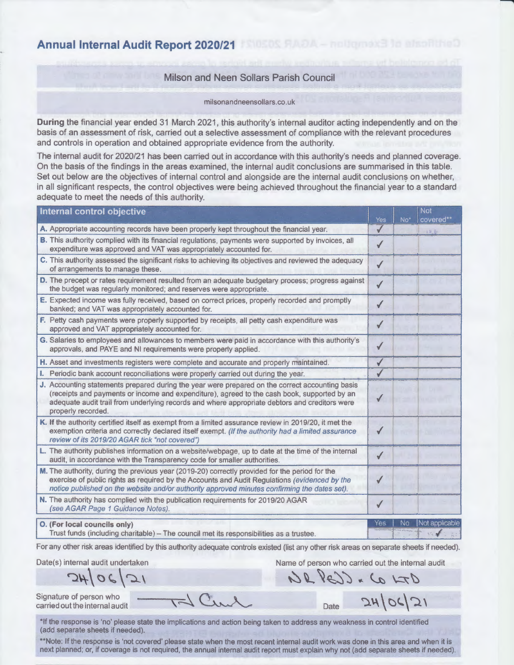**Annual Internal Audit Report 2020/21** 

#### Milson and Neen Sollars Parish Council

milsonandneensollars.co.uk

**During** the financial year ended 31 March 2021, this authority's internal auditor acting independently and on the basis of an assessment of risk, carried out a selective assessment of compliance with the relevant procedures and controls in operation and obtained appropriate evidence from the authority.

The internal audit for 2020/21 has been carried out in accordance with this authority's needs and planned coverage. On the basis of the findings in the areas examined, the internal audit conclusions are summarised in this table. Set out below are the objectives of internal control and alongside are the internal audit conclusions on whether, in all significant respects, the control objectives were being achieved throughout the financial year to a standard adequate to meet the needs of this authority.

| Internal control objective                                                                                                                                                                                                                                                                                            |                     |       | <b>Not</b>     |
|-----------------------------------------------------------------------------------------------------------------------------------------------------------------------------------------------------------------------------------------------------------------------------------------------------------------------|---------------------|-------|----------------|
| A. Appropriate accounting records have been properly kept throughout the financial year.                                                                                                                                                                                                                              | Yes<br>$\checkmark$ | $No*$ | covered**      |
| B. This authority complied with its financial regulations, payments were supported by invoices, all<br>expenditure was approved and VAT was appropriately accounted for.                                                                                                                                              | ✔                   |       | 12.6           |
| C. This authority assessed the significant risks to achieving its objectives and reviewed the adequacy<br>of arrangements to manage these.                                                                                                                                                                            | $\checkmark$        |       |                |
| D. The precept or rates requirement resulted from an adequate budgetary process; progress against<br>the budget was regularly monitored; and reserves were appropriate.                                                                                                                                               | $\checkmark$        |       |                |
| E. Expected income was fully received, based on correct prices, properly recorded and promptly<br>banked; and VAT was appropriately accounted for.                                                                                                                                                                    | $\checkmark$        |       |                |
| F. Petty cash payments were properly supported by receipts, all petty cash expenditure was<br>approved and VAT appropriately accounted for.                                                                                                                                                                           | $\checkmark$        |       |                |
| G. Salaries to employees and allowances to members were paid in accordance with this authority's<br>approvals, and PAYE and NI requirements were properly applied.                                                                                                                                                    | √                   |       |                |
| H. Asset and investments registers were complete and accurate and properly maintained.                                                                                                                                                                                                                                | √                   |       |                |
| <b>1.</b> Periodic bank account reconciliations were properly carried out during the year.                                                                                                                                                                                                                            | √                   |       |                |
| J. Accounting statements prepared during the year were prepared on the correct accounting basis<br>(receipts and payments or income and expenditure), agreed to the cash book, supported by an<br>adequate audit trail from underlying records and where appropriate debtors and creditors were<br>properly recorded. |                     |       |                |
| K. If the authority certified itself as exempt from a limited assurance review in 2019/20, it met the<br>exemption criteria and correctly declared itself exempt. (If the authority had a limited assurance<br>review of its 2019/20 AGAR tick "not covered")                                                         | ✔                   |       |                |
| L. The authority publishes information on a website/webpage, up to date at the time of the internal<br>audit, in accordance with the Transparency code for smaller authorities.                                                                                                                                       | ✔                   |       |                |
| M. The authority, during the previous year (2019-20) correctly provided for the period for the<br>exercise of public rights as required by the Accounts and Audit Regulations (evidenced by the<br>notice published on the website and/or authority approved minutes confirming the dates set).                       |                     |       |                |
| N. The authority has complied with the publication requirements for 2019/20 AGAR<br>(see AGAR Page 1 Guidance Notes).                                                                                                                                                                                                 | $\checkmark$        |       |                |
| O. (For local councils only)<br>Trust funds (including charitable) - The council met its responsibilities as a trustee.                                                                                                                                                                                               | Yes                 | No.   | Not applicable |

For any other risk areas identified by this authority adequate controls existed (list any other risk areas on separate sheets if needed).

Date(s) internal audit undertaken

 $2406121$ 

Name of person who carried out the internal audit

 $dF d \sim G s \sqrt{s}$ 

Signature of person who

carried out the internal audit

 $_{\text{Date}}$   $24|06|21$ 

\*If the response is 'no' please state the implications and action being taken to address any weakness in control identified (add separate sheets if needed).

 $\overline{\sim}$   $C_{11}$ 

\*\*Note: If the response is 'not covered' please state when the most recent internal audit work was done in this area and when it is next planned; or, if coverage is not required, the annual internal audit report must explain why not (add separate sheets if needed).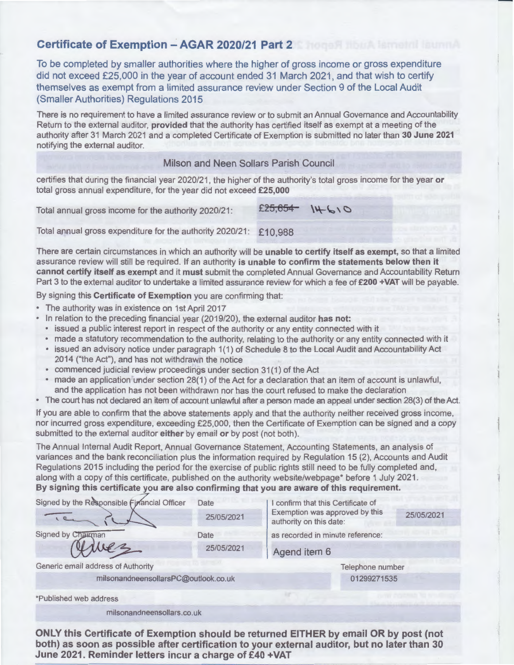### **Certificate of Exemption** - **AGAR 2020/21 Part 2**

To be completed by smaller authorities where the higher of gross income or gross expenditure did not exceed £25,000 in the year of account ended 31 March 2021, and that wish to certify themselves as exempt from a limited assurance review under Section 9 of the Local Audit (Smaller Authorities) Regulations 2015

-

There is no requirement to have a limited assurance review or to submit an Annual Governance and Accountability Return to the external auditor, **provided** that the authority has certified itself as exempt at a meeting of the authority after 31 March 2021 and a completed Certificate of Exemption is submitted no later than **30 June 2021**  notifying the external auditor.

### Milson and Neen Sollars Parish Council

certifies that during the financial year 2020/21, the higher of the authority's total gross income for the year **or**  total gross annual expenditure, for the year did not exceed **£25,000** 

Total annual gross income for the authority 2020/21: **£25,054**   $14-610$ 

Total annual gross expenditure for the authority 2020/21: £10,988

There are certain circumstances in which an authority will be **unable to certify itself as exempt,** so that a limited assurance review will still be required. If an authority **is unable to confirm the statements below then it cannot certify itself as exempt** and it **must** submit the completed Annual Governance and Accountability Return Part 3 to the external auditor to undertake a limited assurance review for which a fee of **£200 +VAT** will be payable.

By signing this **Certificate of Exemption** you are confirming that:

- The authority was in existence on 1st April 2017
- In relation to the preceding financial year (2019/20), the external auditor **has not:**
- issued a public interest report in respect of the authority or any entity connected with it
- made a statutory recommendation to the authority, relating to the authority or any entity connected with it
- issued an advisory notice under paragraph 1(1) of Schedule 8 to the Local Audit and Accountability Act 2014 ("the Act"), and has not withdrawn the notice
- commenced judicial review proceedings under section 31(1) of the Act
- made an application under section 28(1) of the Act for a declaration that an item of account is unlawful, and the application has not been withdrawn nor has the court refused to make the declaration
- The court has not declared an item of account unlawful after a person made an appeal under section 28(3) of the Act.

If you are able to confirm that the above statements apply and that the authority neither received gross income, nor incurred gross expenditure, exceeding £25,000, then the Certificate of Exemption can be signed and a copy submitted to the external auditor **either** by email **or** by post (not both).

The Annual Internal Audit Report, Annual Governance Statement, Accounting Statements, an analysis of variances and the bank reconciliation plus the information required by Regulation 15 (2), Accounts and Audit Regulations 2015 including the period for the exercise of public rights still need to be fully completed and, along with a copy of this certificate, published on the authority website/webpage\* before 1 July 2021. **By signing this certificate you are also confirming that you are aware of this requirement.** 

| Signed by the Responsible Financial Officer | Date             | I confirm that this Certificate of                        |            |
|---------------------------------------------|------------------|-----------------------------------------------------------|------------|
|                                             | 25/05/2021       | Exemption was approved by this<br>authority on this date: | 25/05/2021 |
| Signed by Chairman                          | Date             | as recorded in minute reference:                          |            |
|                                             | 25/05/2021       | Agend item 6                                              |            |
| Generic email address of Authority          | Telephone number |                                                           |            |
| milsonandneensollarsPC@outlook.co.uk        | 01299271535      |                                                           |            |
| *Published web address                      |                  |                                                           |            |
| milsonandneensollars.co.uk                  |                  |                                                           |            |

**ONLY this Certificate of Exemption should be returned EITHER by email OR by post (not both) as soon as possible after certification to your external auditor, but no later than 30 June 2021. Reminder letters incur a charge of £40 +VAT**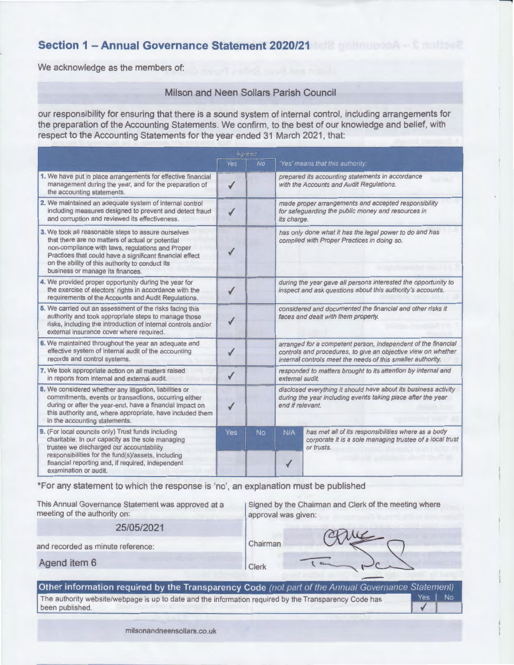## **Section 1 - Annual Governance Statement 2020/21**

We acknowledge as the members of:

#### Milson and Neen Sollars Parish Council

our responsibility for ensuring that there is a sound system of internal control, including arrangements for respect to the Accounting Statements for the year ended 31 March 2021, that:

| the preparation of the Accounting Statements. We confirm, to the best of our knowledge and belief, with<br>respect to the Accounting Statements for the year ended 31 March 2021, that:                                                                                                                        |              |     |                                                                                                                                                                                               |                                                                                                                               |  |
|----------------------------------------------------------------------------------------------------------------------------------------------------------------------------------------------------------------------------------------------------------------------------------------------------------------|--------------|-----|-----------------------------------------------------------------------------------------------------------------------------------------------------------------------------------------------|-------------------------------------------------------------------------------------------------------------------------------|--|
| Agreed                                                                                                                                                                                                                                                                                                         |              |     |                                                                                                                                                                                               |                                                                                                                               |  |
|                                                                                                                                                                                                                                                                                                                | Yes          | No. |                                                                                                                                                                                               | 'Yes' means that this authority:                                                                                              |  |
| 1. We have put in place arrangements for effective financial<br>management during the year, and for the preparation of<br>the accounting statements.                                                                                                                                                           | $\checkmark$ |     |                                                                                                                                                                                               | prepared its accounting statements in accordance<br>with the Accounts and Audit Regulations.                                  |  |
| 2. We maintained an adequate system of internal control<br>including measures designed to prevent and detect fraud<br>and corruption and reviewed its effectiveness.                                                                                                                                           | ✔            |     | made proper arrangements and accepted responsibility<br>for safeguarding the public money and resources in<br>its charge.                                                                     |                                                                                                                               |  |
| 3. We took all reasonable steps to assure ourselves<br>that there are no matters of actual or potential<br>non-compliance with laws, regulations and Proper<br>Practices that could have a significant financial effect<br>on the ability of this authority to conduct its<br>business or manage its finances. |              |     | has only done what it has the legal power to do and has<br>complied with Proper Practices in doing so.                                                                                        |                                                                                                                               |  |
| 4. We provided proper opportunity during the year for<br>the exercise of electors' rights in accordance with the<br>requirements of the Accounts and Audit Regulations.                                                                                                                                        |              |     | during the year gave all persons interested the opportunity to<br>inspect and ask questions about this authority's accounts.                                                                  |                                                                                                                               |  |
| 5. We carried out an assessment of the risks facing this<br>authority and took appropriate steps to manage those<br>risks, including the introduction of internal controls and/or<br>external insurance cover where required.                                                                                  |              |     | considered and documented the financial and other risks it<br>faces and dealt with them properly.                                                                                             |                                                                                                                               |  |
| 6. We maintained throughout the year an adequate and<br>effective system of internal audit of the accounting<br>records and control systems.                                                                                                                                                                   |              |     | arranged for a competent person, independent of the financial<br>controls and procedures, to give an objective view on whether<br>internal controls meet the needs of this smaller authority. |                                                                                                                               |  |
| 7. We took appropriate action on all matters raised<br>in reports from internal and external audit.                                                                                                                                                                                                            | $\checkmark$ |     | responded to matters brought to its attention by internal and<br>external audit.                                                                                                              |                                                                                                                               |  |
| 8. We considered whether any litigation, liabilities or<br>commitments, events or transactions, occurring either<br>during or after the year-end, have a financial impact on<br>this authority and, where appropriate, have included them<br>in the accounting statements.                                     | √            |     | disclosed everything it should have about its business activity<br>during the year including events taking place after the year<br>end if relevant.                                           |                                                                                                                               |  |
| 9. (For local councils only) Trust funds including<br>charitable. In our capacity as the sole managing<br>trustee we discharged our accountability<br>responsibilities for the fund(s)/assets, including<br>financial reporting and, if required, independent<br>examination or audit.                         | <b>Yes</b>   | No. | N/A                                                                                                                                                                                           | has met all of its responsibilities where as a body<br>corporate it is a sole managing trustee of a local trust<br>or trusts. |  |

\*For any statement to which the response is 'no', an explanation must be published

This Annual Governance Statement was approved at a meeting of the authority on:

Signed by the Chairman and Clerk of the meeting where approval was given:

25/05/2021

Chairman Clerk

and recorded as minute reference:

| Agend item 6 |  |  |
|--------------|--|--|
|--------------|--|--|

#### Other information required by the Transparency Code (not part of the Annual Governance Statement) Yes | No The authority website/webpage is up to date and the information required by the Transparency Code has  $\checkmark$

been published.

milsonandneensollars.co.uk